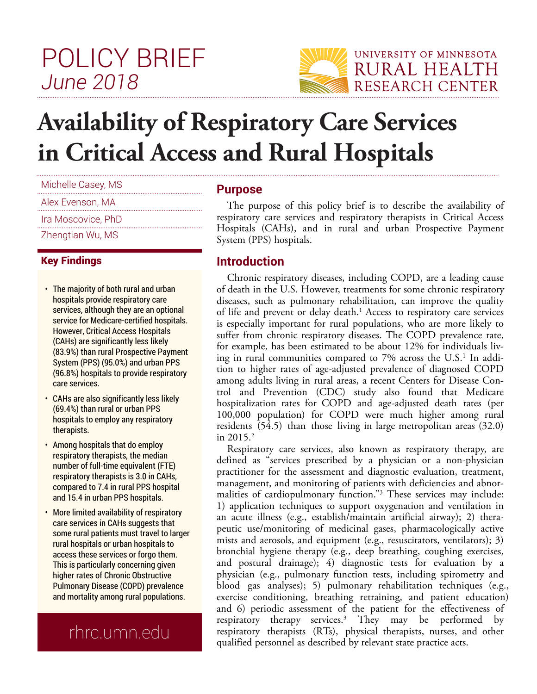## POLICY BRIEF *June 2018*



# **Availability of Respiratory Care Services in Critical Access and Rural Hospitals**

| Michelle Casey, MS |
|--------------------|
| Alex Evenson, MA   |
| Ira Moscovice, PhD |
| Zhengtian Wu, MS   |

#### Key Findings

- The majority of both rural and urban hospitals provide respiratory care services, although they are an optional service for Medicare-certified hospitals. However, Critical Access Hospitals (CAHs) are significantly less likely (83.9%) than rural Prospective Payment System (PPS) (95.0%) and urban PPS (96.8%) hospitals to provide respiratory care services.
- CAHs are also significantly less likely (69.4%) than rural or urban PPS hospitals to employ any respiratory therapists.
- Among hospitals that do employ respiratory therapists, the median number of full-time equivalent (FTE) respiratory therapists is 3.0 in CAHs, compared to 7.4 in rural PPS hospital and 15.4 in urban PPS hospitals.
- More limited availability of respiratory care services in CAHs suggests that some rural patients must travel to larger rural hospitals or urban hospitals to access these services or forgo them. This is particularly concerning given higher rates of Chronic Obstructive Pulmonary Disease (COPD) prevalence and mortality among rural populations.

### rhrc.umn.edu

#### **Purpose**

The purpose of this policy brief is to describe the availability of respiratory care services and respiratory therapists in Critical Access Hospitals (CAHs), and in rural and urban Prospective Payment System (PPS) hospitals.

#### **Introduction**

Chronic respiratory diseases, including COPD, are a leading cause of death in the U.S. However, treatments for some chronic respiratory diseases, such as pulmonary rehabilitation, can improve the quality of life and prevent or delay death.<sup>1</sup> Access to respiratory care services is especially important for rural populations, who are more likely to suffer from chronic respiratory diseases. The COPD prevalence rate, for example, has been estimated to be about 12% for individuals living in rural communities compared to 7% across the U.S.<sup>1</sup> In addition to higher rates of age-adjusted prevalence of diagnosed COPD among adults living in rural areas, a recent Centers for Disease Control and Prevention (CDC) study also found that Medicare hospitalization rates for COPD and age-adjusted death rates (per 100,000 population) for COPD were much higher among rural residents (54.5) than those living in large metropolitan areas (32.0) in  $2015.<sup>2</sup>$ 

Respiratory care services, also known as respiratory therapy, are defined as "services prescribed by a physician or a non-physician practitioner for the assessment and diagnostic evaluation, treatment, management, and monitoring of patients with deficiencies and abnormalities of cardiopulmonary function."<sup>3</sup> These services may include: 1) application techniques to support oxygenation and ventilation in an acute illness (e.g., establish/maintain artificial airway); 2) therapeutic use/monitoring of medicinal gases, pharmacologically active mists and aerosols, and equipment (e.g., resuscitators, ventilators); 3) bronchial hygiene therapy (e.g., deep breathing, coughing exercises, and postural drainage); 4) diagnostic tests for evaluation by a physician (e.g., pulmonary function tests, including spirometry and blood gas analyses); 5) pulmonary rehabilitation techniques (e.g., exercise conditioning, breathing retraining, and patient education) and 6) periodic assessment of the patient for the effectiveness of respiratory therapy services.<sup>3</sup> They may be performed by respiratory therapists (RTs), physical therapists, nurses, and other qualified personnel as described by relevant state practice acts.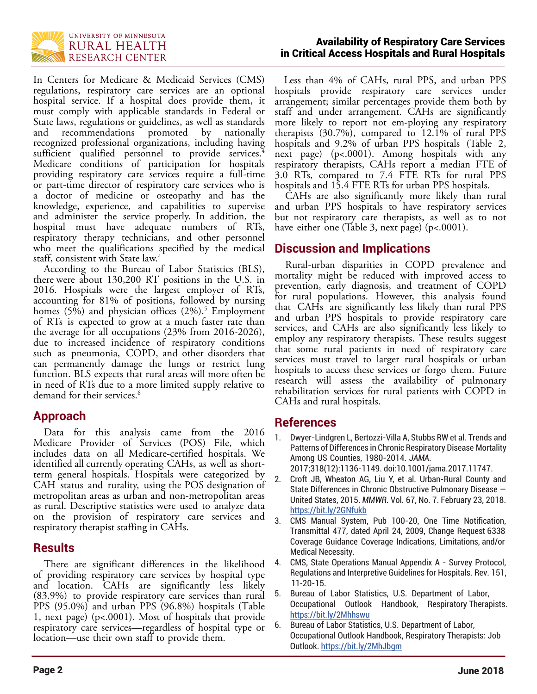

In Centers for Medicare & Medicaid Services (CMS) regulations, respiratory care services are an optional hospital service. If a hospital does provide them, it must comply with applicable standards in Federal or State laws, regulations or guidelines, as well as standards and recommendations promoted by nationally recognized professional organizations, including having sufficient qualified personnel to provide services.<sup>4</sup> Medicare conditions of participation for hospitals providing respiratory care services require a full-time or part-time director of respiratory care services who is a doctor of medicine or osteopathy and has the knowledge, experience, and capabilities to supervise and administer the service properly. In addition, the hospital must have adequate numbers of RTs, respiratory therapy technicians, and other personnel who meet the qualifications specified by the medical staff, consistent with State law.<sup>4</sup>

According to the Bureau of Labor Statistics (BLS), there were about 130,200 RT positions in the U.S. in 2016. Hospitals were the largest employer of RTs, accounting for 81% of positions, followed by nursing homes (5%) and physician offices (2%).<sup>5</sup> Employment of RTs is expected to grow at a much faster rate than the average for all occupations (23% from 2016-2026), due to increased incidence of respiratory conditions such as pneumonia, COPD, and other disorders that can permanently damage the lungs or restrict lung function. BLS expects that rural areas will more often be in need of RTs due to a more limited supply relative to demand for their services.<sup>6</sup>

#### **Approach**

Data for this analysis came from the 2016 Medicare Provider of Services (POS) File, which includes data on all Medicare-certified hospitals. We identified all currently operating CAHs, as well as shortterm general hospitals. Hospitals were categorized by CAH status and rurality, using the POS designation of metropolitan areas as urban and non-metropolitan areas as rural. Descriptive statistics were used to analyze data on the provision of respiratory care services and respiratory therapist staffing in CAHs.

#### **Results**

There are significant differences in the likelihood of providing respiratory care services by hospital type and location. CAHs are significantly less likely (83.9%) to provide respiratory care services than rural PPS (95.0%) and urban PPS (96.8%) hospitals (Table 1, next page) (p<.0001). Most of hospitals that provide respiratory care services—regardless of hospital type or location—use their own staff to provide them.

 Less than 4% of CAHs, rural PPS, and urban PPS hospitals provide respiratory care services under arrangement; similar percentages provide them both by staff and under arrangement. CAHs are significantly more likely to report not em-ploying any respiratory therapists (30.7%), compared to 12.1% of rural PPS hospitals and 9.2% of urban PPS hospitals (Table 2, next page) (p<.0001). Among hospitals with any respiratory therapists, CAHs report a median FTE of 3.0 RTs, compared to 7.4 FTE RTs for rural PPS hospitals and 15.4 FTE RTs for urban PPS hospitals.

CAHs are also significantly more likely than rural and urban PPS hospitals to have respiratory services but not respiratory care therapists, as well as to not have either one (Table 3, next page) (p<.0001).

#### **Discussion and Implications**

Rural-urban disparities in COPD prevalence and mortality might be reduced with improved access to prevention, early diagnosis, and treatment of COPD for rural populations. However, this analysis found that CAHs are significantly less likely than rural PPS and urban PPS hospitals to provide respiratory care services, and CAHs are also significantly less likely to employ any respiratory therapists. These results suggest that some rural patients in need of respiratory care services must travel to larger rural hospitals or urban hospitals to access these services or forgo them. Future research will assess the availability of pulmonary rehabilitation services for rural patients with COPD in CAHs and rural hospitals.

#### **References**

1. Dwyer-Lindgren L, Bertozzi-Villa A, Stubbs RW et al. Trends and Patterns of Differences in Chronic Respiratory Disease Mortality Among US Counties, 1980-2014. *JAMA*.

2017;318(12):1136-1149. doi:10.1001/jama.2017.11747.

- 2. Croft JB, Wheaton AG, Liu Y, et al. Urban-Rural County and State Differences in Chronic Obstructive Pulmonary Disease — United States, 2015. *MMWR*. Vol. 67, No. 7. February 23, 2018. https://bit.ly/2GNfukb
- CMS Manual System, Pub 100-20, One Time Notification, Transmittal 477, dated April 24, 2009, Change Request 6338 Coverage Guidance Coverage Indications, Limitations, and/or Medical Necessity.
- 4. CMS, State Operations Manual Appendix A Survey Protocol, Regulations and Interpretive Guidelines for Hospitals. Rev. 151, 11-20-15.
- 5. Bureau of Labor Statistics, U.S. Department of Labor, Occupational Outlook Handbook, Respiratory Therapists. https://bit.ly/2Mhhswu
- 6. Bureau of Labor Statistics, U.S. Department of Labor, Occupational Outlook Handbook, Respiratory Therapists: Job Outlook. https://bit.ly/2MhJbgm